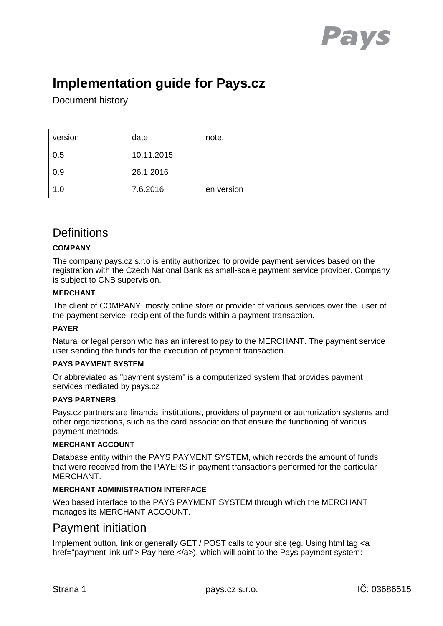

# **Implementation guide for Pays.cz**

Document history

| version | date       | note.      |
|---------|------------|------------|
| 0.5     | 10.11.2015 |            |
| 0.9     | 26.1.2016  |            |
| 1.0     | 7.6.2016   | en version |

## **Definitions**

#### **COMPANY**

The company pays.cz s.r.o is entity authorized to provide payment services based on the registration with the Czech National Bank as small-scale payment service provider. Company is subject to CNB supervision.

#### **MERCHANT**

The client of COMPANY, mostly online store or provider of various services over the. user of the payment service, recipient of the funds within a payment transaction.

#### **PAYER**

Natural or legal person who has an interest to pay to the MERCHANT. The payment service user sending the funds for the execution of payment transaction.

#### **PAYS PAYMENT SYSTEM**

Or abbreviated as "payment system" is a computerized system that provides payment services mediated by pays.cz

#### **PAYS PARTNERS**

Pays.cz partners are financial institutions, providers of payment or authorization systems and other organizations, such as the card association that ensure the functioning of various payment methods.

#### **MERCHANT ACCOUNT**

Database entity within the PAYS PAYMENT SYSTEM, which records the amount of funds that were received from the PAYERS in payment transactions performed for the particular MERCHANT.

#### **MERCHANT ADMINISTRATION INTERFACE**

Web based interface to the PAYS PAYMENT SYSTEM through which the MERCHANT manages its MERCHANT ACCOUNT.

### Payment initiation

Implement button, link or generally GET / POST calls to your site (eg. Using html tag <a href="payment link url"> Pay here </a>), which will point to the Pays payment system: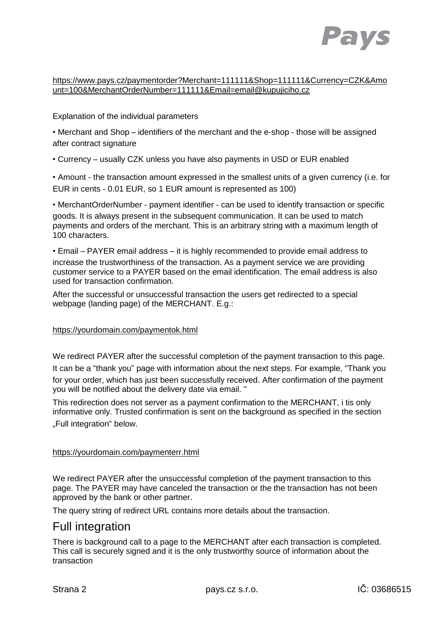

#### https://www.pays.cz/paymentorder?Merchant=111111&Shop=111111&Currency=CZK&Amo unt=100&MerchantOrderNumber=111111&Email=email@kupujiciho.cz

#### Explanation of the individual parameters

• Merchant and Shop – identifiers of the merchant and the e-shop - those will be assigned after contract signature

• Currency – usually CZK unless you have also payments in USD or EUR enabled

• Amount - the transaction amount expressed in the smallest units of a given currency (i.e. for EUR in cents - 0.01 EUR, so 1 EUR amount is represented as 100)

• MerchantOrderNumber - payment identifier - can be used to identify transaction or specific goods. It is always present in the subsequent communication. It can be used to match payments and orders of the merchant. This is an arbitrary string with a maximum length of 100 characters.

• Email – PAYER email address – it is highly recommended to provide email address to increase the trustworthiness of the transaction. As a payment service we are providing customer service to a PAYER based on the email identification. The email address is also used for transaction confirmation.

After the successful or unsuccessful transaction the users get redirected to a special webpage (landing page) of the MERCHANT. E.g.:

#### https://yourdomain.com/paymentok.html

We redirect PAYER after the successful completion of the payment transaction to this page. It can be a "thank you" page with information about the next steps. For example, "Thank you for your order, which has just been successfully received. After confirmation of the payment you will be notified about the delivery date via email. "

This redirection does not server as a payment confirmation to the MERCHANT, i tis only informative only. Trusted confirmation is sent on the background as specified in the section "Full integration" below.

#### https://yourdomain.com/paymenterr.html

We redirect PAYER after the unsuccessful completion of the payment transaction to this page. The PAYER may have canceled the transaction or the the transaction has not been approved by the bank or other partner.

The query string of redirect URL contains more details about the transaction.

### Full integration

There is background call to a page to the MERCHANT after each transaction is completed. This call is securely signed and it is the only trustworthy source of information about the transaction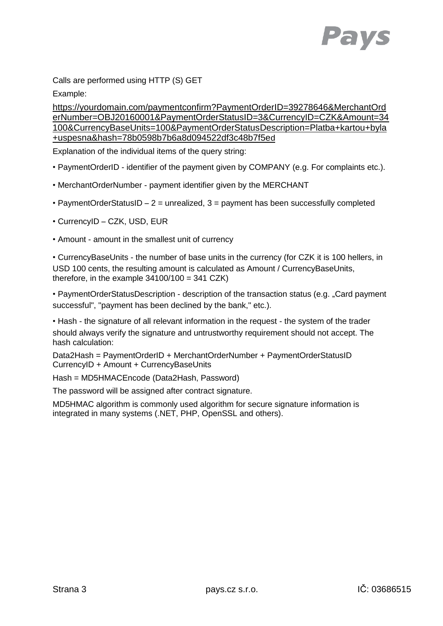

Calls are performed using HTTP (S) GET

Example:

https://yourdomain.com/paymentconfirm?PaymentOrderID=39278646&MerchantOrd erNumber=OBJ20160001&PaymentOrderStatusID=3&CurrencyID=CZK&Amount=34 100&CurrencyBaseUnits=100&PaymentOrderStatusDescription=Platba+kartou+byla +uspesna&hash=78b0598b7b6a8d094522df3c48b7f5ed

Explanation of the individual items of the query string:

- PaymentOrderID identifier of the payment given by COMPANY (e.g. For complaints etc.).
- MerchantOrderNumber payment identifier given by the MERCHANT
- PaymentOrderStatusID  $2$  = unrealized,  $3$  = payment has been successfully completed
- CurrencyID CZK, USD, EUR
- Amount amount in the smallest unit of currency

• CurrencyBaseUnits - the number of base units in the currency (for CZK it is 100 hellers, in USD 100 cents, the resulting amount is calculated as Amount / CurrencyBaseUnits, therefore, in the example  $34100/100 = 341$  CZK)

• PaymentOrderStatusDescription - description of the transaction status (e.g. "Card payment successful", "payment has been declined by the bank," etc.).

• Hash - the signature of all relevant information in the request - the system of the trader should always verify the signature and untrustworthy requirement should not accept. The hash calculation:

Data2Hash = PaymentOrderID + MerchantOrderNumber + PaymentOrderStatusID CurrencyID + Amount + CurrencyBaseUnits

Hash = MD5HMACEncode (Data2Hash, Password)

The password will be assigned after contract signature.

MD5HMAC algorithm is commonly used algorithm for secure signature information is integrated in many systems (.NET, PHP, OpenSSL and others).